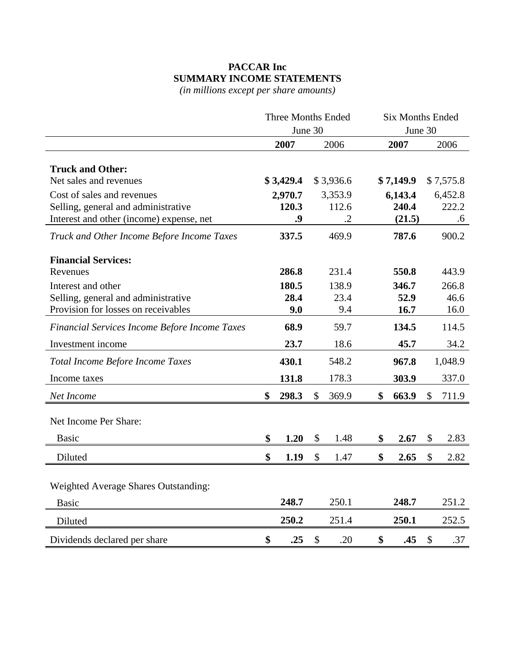## **PACCAR Inc SUMMARY INCOME STATEMENTS**

*(in millions except per share amounts)*

|                                               | <b>Three Months Ended</b> |           |               | <b>Six Months Ended</b> |             |                           |           |  |
|-----------------------------------------------|---------------------------|-----------|---------------|-------------------------|-------------|---------------------------|-----------|--|
|                                               |                           | June 30   |               |                         | June 30     |                           |           |  |
|                                               |                           | 2007      |               | 2006                    | 2007        |                           | 2006      |  |
|                                               |                           |           |               |                         |             |                           |           |  |
| <b>Truck and Other:</b>                       |                           |           |               |                         |             |                           |           |  |
| Net sales and revenues                        |                           | \$3,429.4 |               | \$3,936.6               | \$7,149.9   |                           | \$7,575.8 |  |
| Cost of sales and revenues                    |                           | 2,970.7   |               | 3,353.9                 | 6,143.4     |                           | 6,452.8   |  |
| Selling, general and administrative           |                           | 120.3     |               | 112.6                   | 240.4       |                           | 222.2     |  |
| Interest and other (income) expense, net      |                           | .9        |               | $\cdot$ .2              | (21.5)      |                           | .6        |  |
| Truck and Other Income Before Income Taxes    |                           | 337.5     |               | 469.9                   | 787.6       |                           | 900.2     |  |
| <b>Financial Services:</b>                    |                           |           |               |                         |             |                           |           |  |
| Revenues                                      |                           | 286.8     |               | 231.4                   | 550.8       |                           | 443.9     |  |
| Interest and other                            |                           | 180.5     |               | 138.9                   | 346.7       |                           | 266.8     |  |
| Selling, general and administrative           |                           | 28.4      |               | 23.4                    | 52.9        |                           | 46.6      |  |
| Provision for losses on receivables           |                           | 9.0       |               | 9.4                     | 16.7        |                           | 16.0      |  |
| Financial Services Income Before Income Taxes |                           | 68.9      |               | 59.7                    | 134.5       |                           | 114.5     |  |
| Investment income                             |                           | 23.7      |               | 18.6                    | 45.7        |                           | 34.2      |  |
| Total Income Before Income Taxes              |                           | 430.1     |               | 548.2                   | 967.8       |                           | 1,048.9   |  |
| Income taxes                                  |                           | 131.8     |               | 178.3                   | 303.9       |                           | 337.0     |  |
| Net Income                                    | \$                        | 298.3     | \$            | 369.9                   | \$<br>663.9 | \$                        | 711.9     |  |
| Net Income Per Share:                         |                           |           |               |                         |             |                           |           |  |
| <b>Basic</b>                                  | \$                        | 1.20      | \$            | 1.48                    | \$<br>2.67  | \$                        | 2.83      |  |
| Diluted                                       | \$                        | 1.19      | \$            | 1.47                    | \$<br>2.65  | $\boldsymbol{\mathsf{S}}$ | 2.82      |  |
|                                               |                           |           |               |                         |             |                           |           |  |
| <b>Weighted Average Shares Outstanding:</b>   |                           |           |               |                         |             |                           |           |  |
| <b>Basic</b>                                  |                           | 248.7     |               | 250.1                   | 248.7       |                           | 251.2     |  |
| Diluted                                       |                           | 250.2     |               | 251.4                   | 250.1       |                           | 252.5     |  |
| Dividends declared per share                  | \$                        | .25       | $\mathcal{S}$ | .20                     | \$<br>.45   | $\mathcal{S}$             | .37       |  |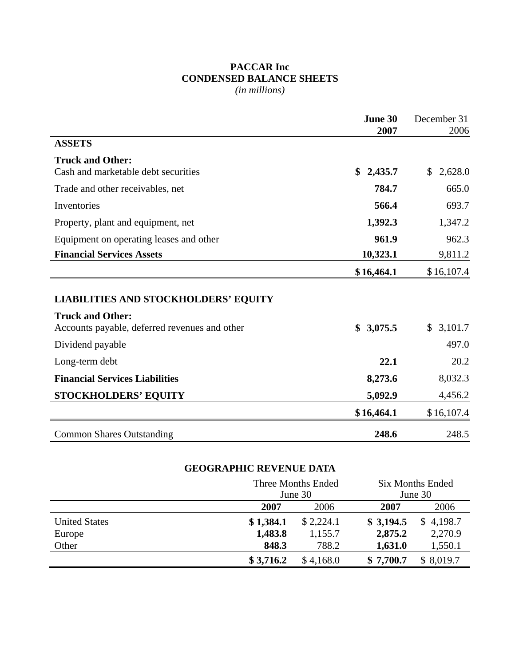## **PACCAR Inc CONDENSED BALANCE SHEETS**

*(in millions)*

|                                                                                                                         | June 30<br>2007 | December 31<br>2006 |
|-------------------------------------------------------------------------------------------------------------------------|-----------------|---------------------|
| <b>ASSETS</b>                                                                                                           |                 |                     |
| <b>Truck and Other:</b>                                                                                                 |                 |                     |
| Cash and marketable debt securities                                                                                     | \$<br>2,435.7   | \$<br>2,628.0       |
| Trade and other receivables, net                                                                                        | 784.7           | 665.0               |
| Inventories                                                                                                             | 566.4           | 693.7               |
| Property, plant and equipment, net                                                                                      | 1,392.3         | 1,347.2             |
| Equipment on operating leases and other                                                                                 | 961.9           | 962.3               |
| <b>Financial Services Assets</b>                                                                                        | 10,323.1        | 9,811.2             |
|                                                                                                                         | \$16,464.1      | \$16,107.4          |
| <b>LIABILITIES AND STOCKHOLDERS' EQUITY</b><br><b>Truck and Other:</b><br>Accounts payable, deferred revenues and other | \$<br>3,075.5   | \$3,101.7           |
| Dividend payable                                                                                                        |                 | 497.0               |
| Long-term debt                                                                                                          | 22.1            | 20.2                |
| <b>Financial Services Liabilities</b>                                                                                   | 8,273.6         | 8,032.3             |
| <b>STOCKHOLDERS' EQUITY</b>                                                                                             | 5,092.9         | 4,456.2             |
|                                                                                                                         | \$16,464.1      | \$16,107.4          |
| <b>Common Shares Outstanding</b>                                                                                        | 248.6           | 248.5               |

## **GEOGRAPHIC REVENUE DATA**

|                      |           | Three Months Ended<br>June 30 | <b>Six Months Ended</b><br>June 30 |           |  |
|----------------------|-----------|-------------------------------|------------------------------------|-----------|--|
|                      | 2007      | 2006                          | 2007                               | 2006      |  |
| <b>United States</b> | \$1,384.1 | \$2,224.1                     | \$3,194.5                          | \$4,198.7 |  |
| Europe               | 1,483.8   | 1,155.7                       | 2,875.2                            | 2,270.9   |  |
| Other                | 848.3     | 788.2                         | 1,631.0                            | 1,550.1   |  |
|                      | \$3,716.2 | \$4,168.0                     | \$7,700.7                          | \$8,019.7 |  |